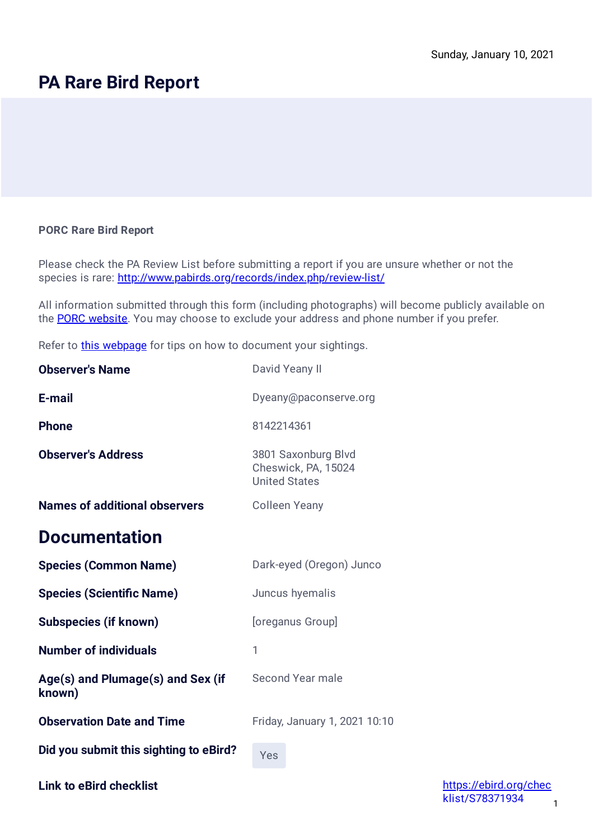## **PA Rare Bird Report**

## **PORC Rare Bird Report**

Please check the PA Review List before submitting a report if you are unsure whether or not the species is rare: <http://www.pabirds.org/records/index.php/review-list/>

All information submitted through this form (including photographs) will become publicly available on the [PORC website.](http://www.pabirds.org/records) You may choose to exclude your address and phone number if you prefer.

Refer to [this webpage](https://pabirds.org/records/index.php/documenting-rarities/) for tips on how to document your sightings.

| <b>Observer's Name</b>                      | David Yeany II                                                     |
|---------------------------------------------|--------------------------------------------------------------------|
| E-mail                                      | Dyeany@paconserve.org                                              |
| <b>Phone</b>                                | 8142214361                                                         |
| <b>Observer's Address</b>                   | 3801 Saxonburg Blvd<br>Cheswick, PA, 15024<br><b>United States</b> |
| <b>Names of additional observers</b>        | <b>Colleen Yeany</b>                                               |
| <b>Documentation</b>                        |                                                                    |
| <b>Species (Common Name)</b>                | Dark-eyed (Oregon) Junco                                           |
| <b>Species (Scientific Name)</b>            | Juncus hyemalis                                                    |
| <b>Subspecies (if known)</b>                | [oreganus Group]                                                   |
| <b>Number of individuals</b>                | 1                                                                  |
| Age(s) and Plumage(s) and Sex (if<br>known) | <b>Second Year male</b>                                            |
| <b>Observation Date and Time</b>            | Friday, January 1, 2021 10:10                                      |
| Did you submit this sighting to eBird?      | Yes                                                                |

**Link to eBird checklist [https://ebird.org/chec](https://ebird.org/checklist/S78371934)**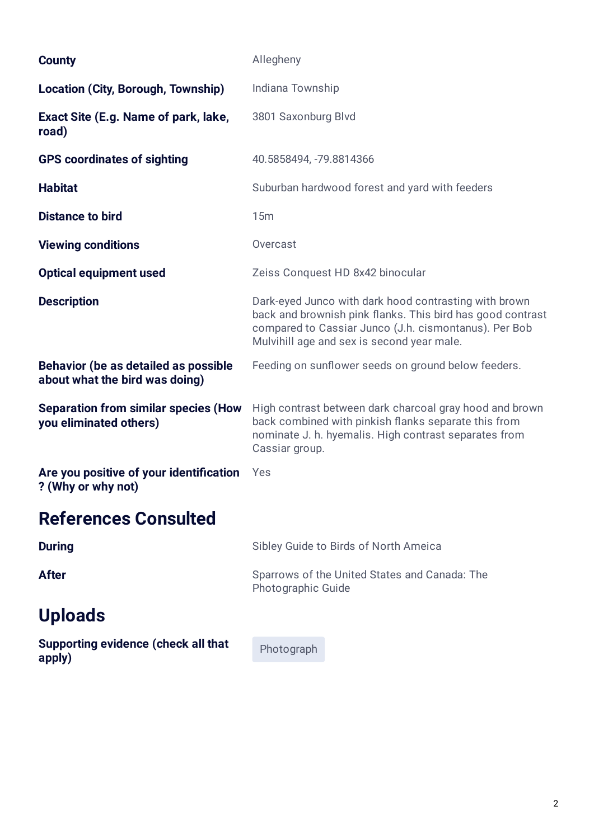| <b>County</b>                                                                 | Allegheny                                                                                                                                                                                                                  |
|-------------------------------------------------------------------------------|----------------------------------------------------------------------------------------------------------------------------------------------------------------------------------------------------------------------------|
| Location (City, Borough, Township)                                            | Indiana Township                                                                                                                                                                                                           |
| Exact Site (E.g. Name of park, lake,<br>road)                                 | 3801 Saxonburg Blvd                                                                                                                                                                                                        |
| <b>GPS coordinates of sighting</b>                                            | 40.5858494, -79.8814366                                                                                                                                                                                                    |
| <b>Habitat</b>                                                                | Suburban hardwood forest and yard with feeders                                                                                                                                                                             |
| <b>Distance to bird</b>                                                       | 15m                                                                                                                                                                                                                        |
| <b>Viewing conditions</b>                                                     | Overcast                                                                                                                                                                                                                   |
| <b>Optical equipment used</b>                                                 | Zeiss Conquest HD 8x42 binocular                                                                                                                                                                                           |
| <b>Description</b>                                                            | Dark-eyed Junco with dark hood contrasting with brown<br>back and brownish pink flanks. This bird has good contrast<br>compared to Cassiar Junco (J.h. cismontanus). Per Bob<br>Mulvihill age and sex is second year male. |
| <b>Behavior (be as detailed as possible</b><br>about what the bird was doing) | Feeding on sunflower seeds on ground below feeders.                                                                                                                                                                        |
| <b>Separation from similar species (How</b><br>you eliminated others)         | High contrast between dark charcoal gray hood and brown<br>back combined with pinkish flanks separate this from<br>nominate J. h. hyemalis. High contrast separates from<br>Cassiar group.                                 |
| Are you positive of your identification<br>? (Why or why not)                 | Yes                                                                                                                                                                                                                        |
| <b>References Consulted</b>                                                   |                                                                                                                                                                                                                            |
| <b>During</b>                                                                 | Sibley Guide to Birds of North Ameica                                                                                                                                                                                      |
| <b>After</b>                                                                  | Sparrows of the United States and Canada: The<br>Photographic Guide                                                                                                                                                        |
| <b>Uploads</b>                                                                |                                                                                                                                                                                                                            |
| Supporting evidence (check all that<br>apply)                                 | Photograph                                                                                                                                                                                                                 |